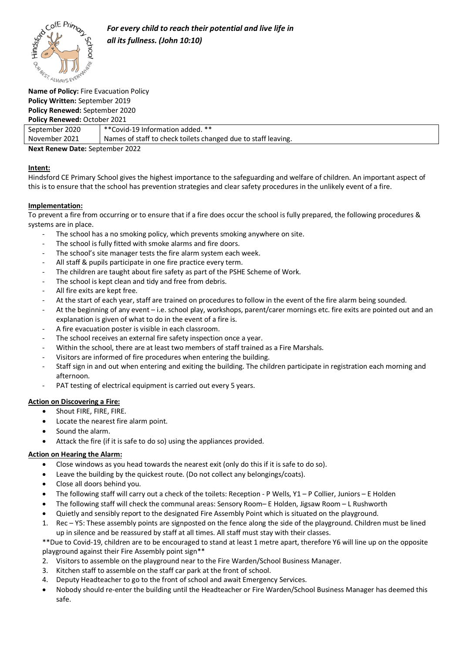

#### **Name of Policy:** Fire Evacuation Policy **Policy Written:** September 2019 **Policy Renewed:** September 2020 **Policy Renewed:** October 2021

| <b>TONCY INCHICATOR:</b> OCCODE: EULE |                                                               |
|---------------------------------------|---------------------------------------------------------------|
| September 2020                        | **Covid-19 Information added. **                              |
| November 2021                         | Names of staff to check toilets changed due to staff leaving. |
| Nayt Banau Date: Cantamber 2022       |                                                               |

**Next Renew Date:** September 2022

## **Intent:**

Hindsford CE Primary School gives the highest importance to the safeguarding and welfare of children. An important aspect of this is to ensure that the school has prevention strategies and clear safety procedures in the unlikely event of a fire.

## **Implementation:**

To prevent a fire from occurring or to ensure that if a fire does occur the school is fully prepared, the following procedures & systems are in place.

- The school has a no smoking policy, which prevents smoking anywhere on site.
- The school is fully fitted with smoke alarms and fire doors.
- The school's site manager tests the fire alarm system each week.
- All staff & pupils participate in one fire practice every term.
- The children are taught about fire safety as part of the PSHE Scheme of Work.
- The school is kept clean and tidy and free from debris.
- All fire exits are kept free.
- At the start of each year, staff are trained on procedures to follow in the event of the fire alarm being sounded.
- At the beginning of any event i.e. school play, workshops, parent/carer mornings etc. fire exits are pointed out and an explanation is given of what to do in the event of a fire is.
- A fire evacuation poster is visible in each classroom.
- The school receives an external fire safety inspection once a year.
- Within the school, there are at least two members of staff trained as a Fire Marshals.
- Visitors are informed of fire procedures when entering the building.
- Staff sign in and out when entering and exiting the building. The children participate in registration each morning and afternoon.
- PAT testing of electrical equipment is carried out every 5 years.

### **Action on Discovering a Fire:**

- Shout FIRE, FIRE, FIRE.
- Locate the nearest fire alarm point.
- Sound the alarm.
- Attack the fire (if it is safe to do so) using the appliances provided.

# **Action on Hearing the Alarm:**

- Close windows as you head towards the nearest exit (only do this if it is safe to do so).
- Leave the building by the quickest route. (Do not collect any belongings/coats).
- Close all doors behind you.
- The following staff will carry out a check of the toilets: Reception P Wells, Y1 P Collier, Juniors E Holden
- The following staff will check the communal areas: Sensory Room– E Holden, Jigsaw Room L Rushworth
- Quietly and sensibly report to the designated Fire Assembly Point which is situated on the playground.
- 1. Rec Y5: These assembly points are signposted on the fence along the side of the playground. Children must be lined up in silence and be reassured by staff at all times. All staff must stay with their classes.

\*\*Due to Covid-19, children are to be encouraged to stand at least 1 metre apart, therefore Y6 will line up on the opposite playground against their Fire Assembly point sign\*\*

- 2. Visitors to assemble on the playground near to the Fire Warden/School Business Manager.
- 3. Kitchen staff to assemble on the staff car park at the front of school.
- 4. Deputy Headteacher to go to the front of school and await Emergency Services.
- Nobody should re-enter the building until the Headteacher or Fire Warden/School Business Manager has deemed this safe.